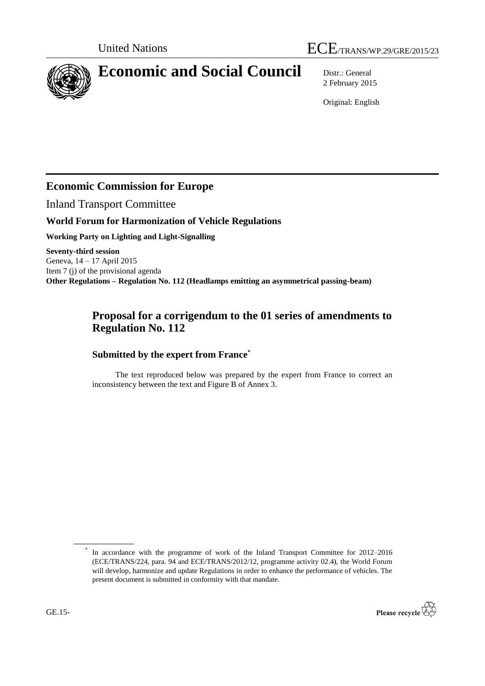

# **Economic and Social Council** Distr.: General

2 February 2015

Original: English

## **Economic Commission for Europe**

Inland Transport Committee

### **World Forum for Harmonization of Vehicle Regulations**

**Working Party on Lighting and Light-Signalling**

**Seventy-third session** Geneva, 14 – 17 April 2015 Item 7 (j) of the provisional agenda **Other Regulations – Regulation No. 112 (Headlamps emitting an asymmetrical passing-beam)**

## **Proposal for a corrigendum to the 01 series of amendments to Regulation No. 112**

### **Submitted by the expert from France\***

The text reproduced below was prepared by the expert from France to correct an inconsistency between the text and Figure B of Annex 3.

<sup>\*</sup> In accordance with the programme of work of the Inland Transport Committee for 2012–2016 (ECE/TRANS/224, para. 94 and ECE/TRANS/2012/12, programme activity 02.4), the World Forum will develop, harmonize and update Regulations in order to enhance the performance of vehicles. The present document is submitted in conformity with that mandate.

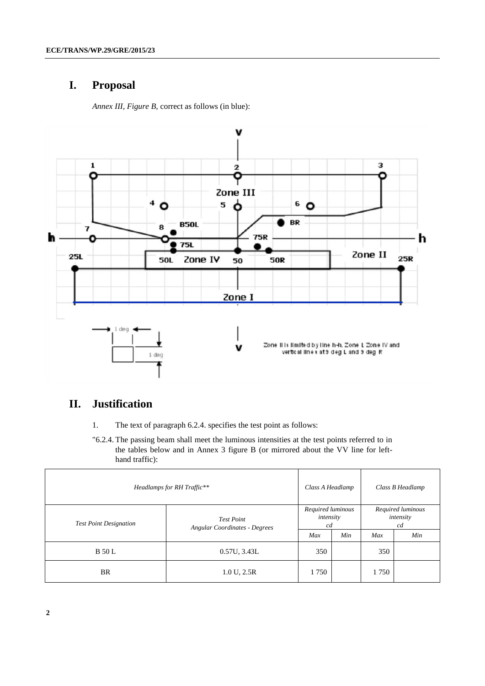## **I. Proposal**

*Annex III, Figure B,* correct as follows (in blue):



## **II. Justification**

- 1. The text of paragraph 6.2.4. specifies the test point as follows:
- "6.2.4. The passing beam shall meet the luminous intensities at the test points referred to in the tables below and in Annex 3 figure B (or mirrored about the VV line for lefthand traffic):

| Headlamps for RH Traffic**    |                                                           | Class A Headlamp                     |     | Class B Headlamp                     |     |
|-------------------------------|-----------------------------------------------------------|--------------------------------------|-----|--------------------------------------|-----|
| <b>Test Point Designation</b> | <b>Test Point</b><br><b>Angular Coordinates - Degrees</b> | Required luminous<br>intensity<br>cd |     | Required luminous<br>intensity<br>cd |     |
|                               |                                                           | Max                                  | Min | Max                                  | Min |
| <b>B</b> 50 L                 | 0.57U, 3.43L                                              | 350                                  |     | 350                                  |     |
| <b>BR</b>                     | 1.0 U, 2.5R                                               | 1750                                 |     | 1750                                 |     |